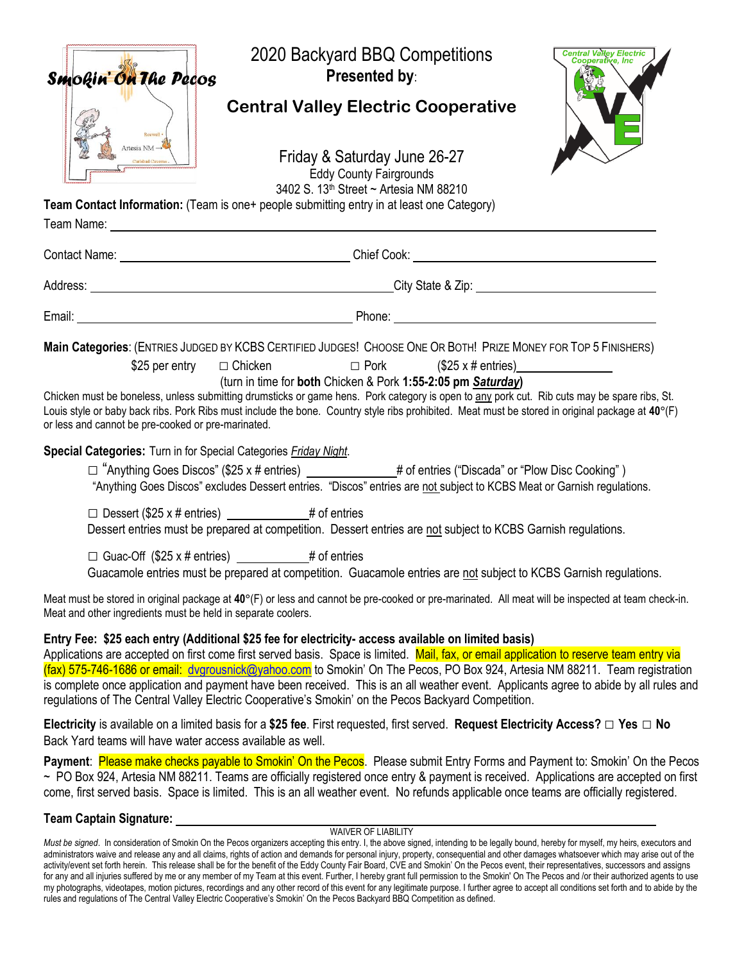| Smokin' On The Pecos                                                 | 2020 Backyard BBQ Competitions<br>Presented by:                                                                                                                                                                                                                                                                                                                                                                                                                                                                                                                                                                               | <b>Central Valley Electric</b> |
|----------------------------------------------------------------------|-------------------------------------------------------------------------------------------------------------------------------------------------------------------------------------------------------------------------------------------------------------------------------------------------------------------------------------------------------------------------------------------------------------------------------------------------------------------------------------------------------------------------------------------------------------------------------------------------------------------------------|--------------------------------|
| Roswell -                                                            | <b>Central Valley Electric Cooperative</b>                                                                                                                                                                                                                                                                                                                                                                                                                                                                                                                                                                                    |                                |
| Artesia NM $\rightarrow$                                             | Friday & Saturday June 26-27<br><b>Eddy County Fairgrounds</b><br>3402 S. 13 <sup>th</sup> Street ~ Artesia NM 88210                                                                                                                                                                                                                                                                                                                                                                                                                                                                                                          |                                |
|                                                                      | Team Contact Information: (Team is one+ people submitting entry in at least one Category)                                                                                                                                                                                                                                                                                                                                                                                                                                                                                                                                     |                                |
|                                                                      |                                                                                                                                                                                                                                                                                                                                                                                                                                                                                                                                                                                                                               |                                |
|                                                                      | Address: <u>New York: New York: New York: New York: New York: New York: New York: New York: New York: New York: New York: New York: New York: New York: New York: New York: New York: New York: New York: New York: New York: Ne</u>                                                                                                                                                                                                                                                                                                                                                                                          |                                |
|                                                                      |                                                                                                                                                                                                                                                                                                                                                                                                                                                                                                                                                                                                                               |                                |
| \$25 per entry<br>or less and cannot be pre-cooked or pre-marinated. | Main Categories: (ENTRIES JUDGED BY KCBS CERTIFIED JUDGES! CHOOSE ONE OR BOTH! PRIZE MONEY FOR TOP 5 FINISHERS)<br>$\Box$ Chicken $\Box$ Pork $(\$25 \times #$ entries)<br>(turn in time for both Chicken & Pork 1:55-2:05 pm Saturday)<br>Chicken must be boneless, unless submitting drumsticks or game hens. Pork category is open to any pork cut. Rib cuts may be spare ribs, St.<br>Louis style or baby back ribs. Pork Ribs must include the bone. Country style ribs prohibited. Meat must be stored in original package at 40°(F)                                                                                    |                                |
| Special Categories: Turn in for Special Categories Friday Night.     | □ "Anything Goes Discos" (\$25 x # entries) ____________# of entries ("Discada" or "Plow Disc Cooking")<br>"Anything Goes Discos" excludes Dessert entries. "Discos" entries are not subject to KCBS Meat or Garnish regulations.                                                                                                                                                                                                                                                                                                                                                                                             |                                |
|                                                                      | $\Box$ Dessert (\$25 x # entries) ___________# of entries<br>Dessert entries must be prepared at competition. Dessert entries are not subject to KCBS Garnish regulations.                                                                                                                                                                                                                                                                                                                                                                                                                                                    |                                |
|                                                                      | □ Guac-Off (\$25 x # entries) ____________ # of entries<br>Guacamole entries must be prepared at competition. Guacamole entries are not subject to KCBS Garnish regulations.                                                                                                                                                                                                                                                                                                                                                                                                                                                  |                                |
| Meat and other ingredients must be held in separate coolers.         | Meat must be stored in original package at 40°(F) or less and cannot be pre-cooked or pre-marinated. All meat will be inspected at team check-in.                                                                                                                                                                                                                                                                                                                                                                                                                                                                             |                                |
|                                                                      | Entry Fee: \$25 each entry (Additional \$25 fee for electricity- access available on limited basis)<br>Applications are accepted on first come first served basis. Space is limited. Mail, fax, or email application to reserve team entry via<br>(fax) 575-746-1686 or email: dvgrousnick@yahoo.com to Smokin' On The Pecos, PO Box 924, Artesia NM 88211. Team registration<br>is complete once application and payment have been received. This is an all weather event. Applicants agree to abide by all rules and<br>regulations of The Central Valley Electric Cooperative's Smokin' on the Pecos Backyard Competition. |                                |
| Back Yard teams will have water access available as well.            | Electricity is available on a limited basis for a \$25 fee. First requested, first served. Request Electricity Access? $\Box$ Yes $\Box$ No                                                                                                                                                                                                                                                                                                                                                                                                                                                                                   |                                |
|                                                                      | Payment: Please make checks payable to Smokin' On the Pecos. Please submit Entry Forms and Payment to: Smokin' On the Pecos<br>~ PO Box 924, Artesia NM 88211. Teams are officially registered once entry & payment is received. Applications are accepted on first<br>come, first served basis. Space is limited. This is an all weather event. No refunds applicable once teams are officially registered.                                                                                                                                                                                                                  |                                |
| Team Captain Signature: __                                           |                                                                                                                                                                                                                                                                                                                                                                                                                                                                                                                                                                                                                               |                                |

WAIVER OF LIABILITY

*Must be signed*. In consideration of Smokin On the Pecos organizers accepting this entry. I, the above signed, intending to be legally bound, hereby for myself, my heirs, executors and administrators waive and release any and all claims, rights of action and demands for personal injury, property, consequential and other damages whatsoever which may arise out of the activity/event set forth herein. This release shall be for the benefit of the Eddy County Fair Board, CVE and Smokin' On the Pecos event, their representatives, successors and assigns for any and all injuries suffered by me or any member of my Team at this event. Further, I hereby grant full permission to the Smokin' On The Pecos and /or their authorized agents to use my photographs, videotapes, motion pictures, recordings and any other record of this event for any legitimate purpose. I further agree to accept all conditions set forth and to abide by the rules and regulations of The Central Valley Electric Cooperative's Smokin' On the Pecos Backyard BBQ Competition as defined.